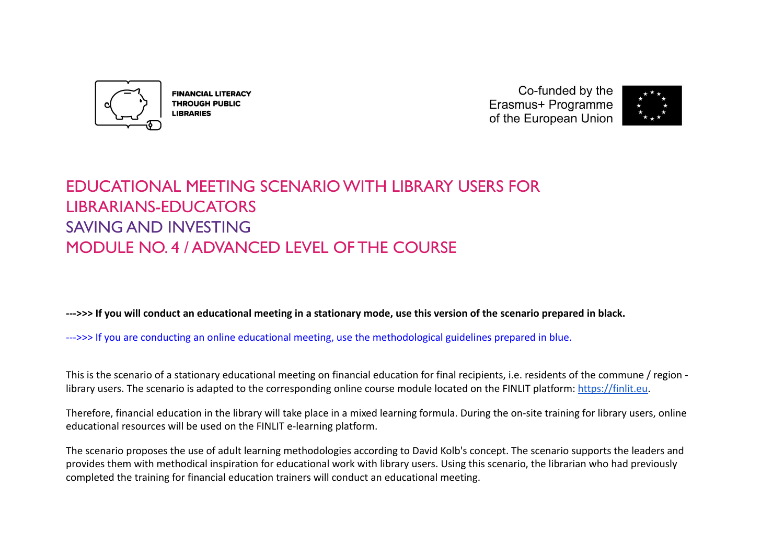

**FINANCIAL LITERACY THROUGH PUBLIC LIBRARIES** 

Co-funded by the Erasmus+ Programme of the European Union



# EDUCATIONAL MEETING SCENARIO WITH LIBRARY USERS FOR LIBRARIANS-EDUCATORS SAVING AND INVESTING MODULE NO. 4 / ADVANCED LEVEL OF THE COURSE

**--->>> If you will conduct an educational meeting in a stationary mode, use this version of the scenario prepared in black.**

--->>> If you are conducting an online educational meeting, use the methodological guidelines prepared in blue.

This is the scenario of a stationary educational meeting on financial education for final recipients, i.e. residents of the commune / region library users. The scenario is adapted to the corresponding online course module located on the FINLIT platform: [https://finlit.eu.](https://finlit.eu)

Therefore, financial education in the library will take place in a mixed learning formula. During the on-site training for library users, online educational resources will be used on the FINLIT e-learning platform.

The scenario proposes the use of adult learning methodologies according to David Kolb's concept. The scenario supports the leaders and provides them with methodical inspiration for educational work with library users. Using this scenario, the librarian who had previously completed the training for financial education trainers will conduct an educational meeting.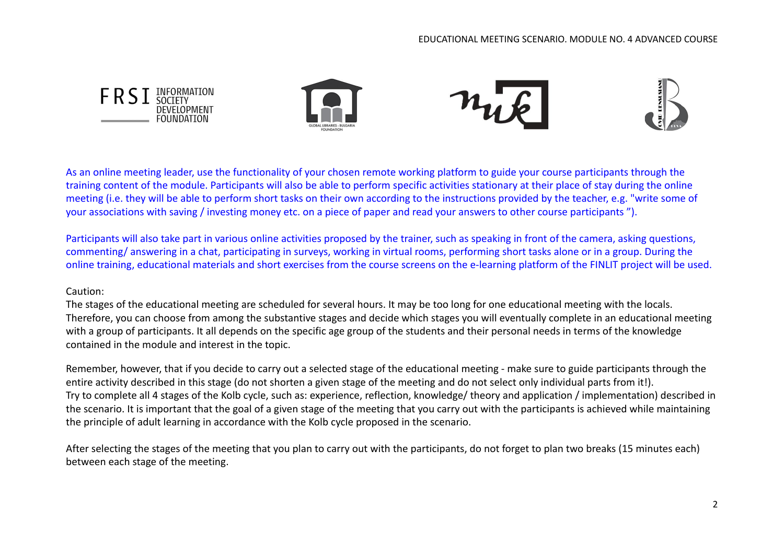

As an online meeting leader, use the functionality of your chosen remote working platform to guide your course participants through the training content of the module. Participants will also be able to perform specific activities stationary at their place of stay during the online meeting (i.e. they will be able to perform short tasks on their own according to the instructions provided by the teacher, e.g. "write some of your associations with saving / investing money etc. on a piece of paper and read your answers to other course participants ").

Participants will also take part in various online activities proposed by the trainer, such as speaking in front of the camera, asking questions, commenting/ answering in a chat, participating in surveys, working in virtual rooms, performing short tasks alone or in a group. During the online training, educational materials and short exercises from the course screens on the e-learning platform of the FINLIT project will be used.

#### Caution:

The stages of the educational meeting are scheduled for several hours. It may be too long for one educational meeting with the locals. Therefore, you can choose from among the substantive stages and decide which stages you will eventually complete in an educational meeting with a group of participants. It all depends on the specific age group of the students and their personal needs in terms of the knowledge contained in the module and interest in the topic.

Remember, however, that if you decide to carry out a selected stage of the educational meeting - make sure to guide participants through the entire activity described in this stage (do not shorten a given stage of the meeting and do not select only individual parts from it!). Try to complete all 4 stages of the Kolb cycle, such as: experience, reflection, knowledge/ theory and application / implementation) described in the scenario. It is important that the goal of a given stage of the meeting that you carry out with the participants is achieved while maintaining the principle of adult learning in accordance with the Kolb cycle proposed in the scenario.

After selecting the stages of the meeting that you plan to carry out with the participants, do not forget to plan two breaks (15 minutes each) between each stage of the meeting.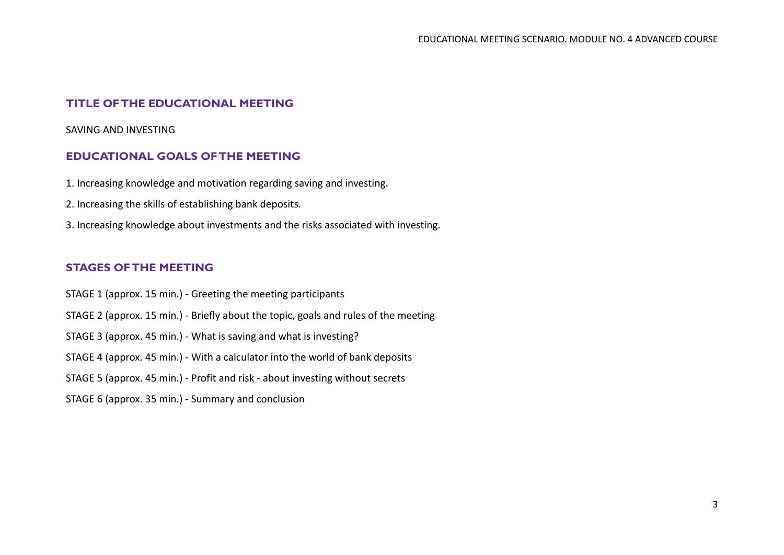## **TITLE OF THE EDUCATIONAL MEETING**

SAVING AND INVESTING

# **EDUCATIONAL GOALS OF THE MEETING**

- 1. Increasing knowledge and motivation regarding saving and investing.
- 2. Increasing the skills of establishing bank deposits.
- 3. Increasing knowledge about investments and the risks associated with investing.

# **STAGES OF THE MEETING**

- STAGE 1 (approx. 15 min.) Greeting the meeting participants
- STAGE 2 (approx. 15 min.) Briefly about the topic, goals and rules of the meeting
- STAGE 3 (approx. 45 min.) What is saving and what is investing?
- STAGE 4 (approx. 45 min.) With a calculator into the world of bank deposits
- STAGE 5 (approx. 45 min.) Profit and risk about investing without secrets
- STAGE 6 (approx. 35 min.) Summary and conclusion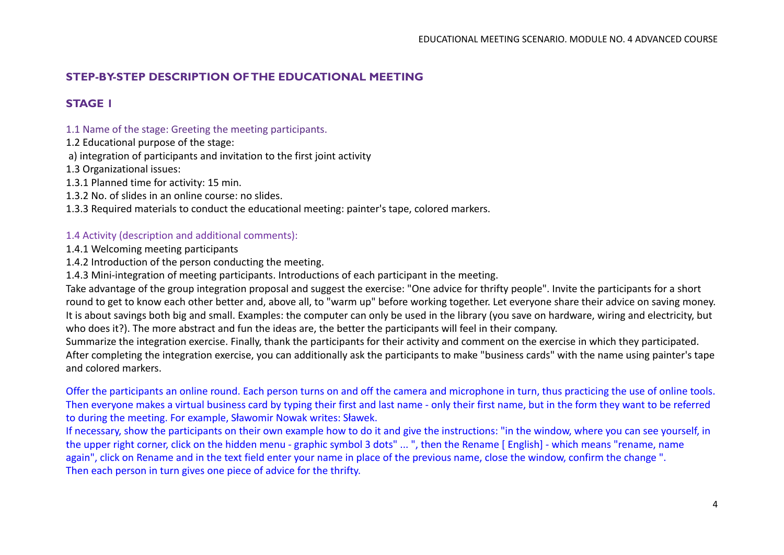# **STEP-BY-STEP DESCRIPTION OF THE EDUCATIONAL MEETING**

# **STAGE 1**

### 1.1 Name of the stage: Greeting the meeting participants.

1.2 Educational purpose of the stage:

a) integration of participants and invitation to the first joint activity

1.3 Organizational issues:

1.3.1 Planned time for activity: 15 min.

1.3.2 No. of slides in an online course: no slides.

1.3.3 Required materials to conduct the educational meeting: painter's tape, colored markers.

#### 1.4 Activity (description and additional comments):

1.4.1 Welcoming meeting participants

1.4.2 Introduction of the person conducting the meeting.

1.4.3 Mini-integration of meeting participants. Introductions of each participant in the meeting.

Take advantage of the group integration proposal and suggest the exercise: "One advice for thrifty people". Invite the participants for a short round to get to know each other better and, above all, to "warm up" before working together. Let everyone share their advice on saving money. It is about savings both big and small. Examples: the computer can only be used in the library (you save on hardware, wiring and electricity, but who does it?). The more abstract and fun the ideas are, the better the participants will feel in their company.

Summarize the integration exercise. Finally, thank the participants for their activity and comment on the exercise in which they participated. After completing the integration exercise, you can additionally ask the participants to make "business cards" with the name using painter's tape and colored markers.

Offer the participants an online round. Each person turns on and off the camera and microphone in turn, thus practicing the use of online tools. Then everyone makes a virtual business card by typing their first and last name - only their first name, but in the form they want to be referred to during the meeting. For example, Sławomir Nowak writes: Sławek.

If necessary, show the participants on their own example how to do it and give the instructions: "in the window, where you can see yourself, in the upper right corner, click on the hidden menu - graphic symbol 3 dots" ... ", then the Rename [ English] - which means "rename, name again", click on Rename and in the text field enter your name in place of the previous name, close the window, confirm the change ". Then each person in turn gives one piece of advice for the thrifty.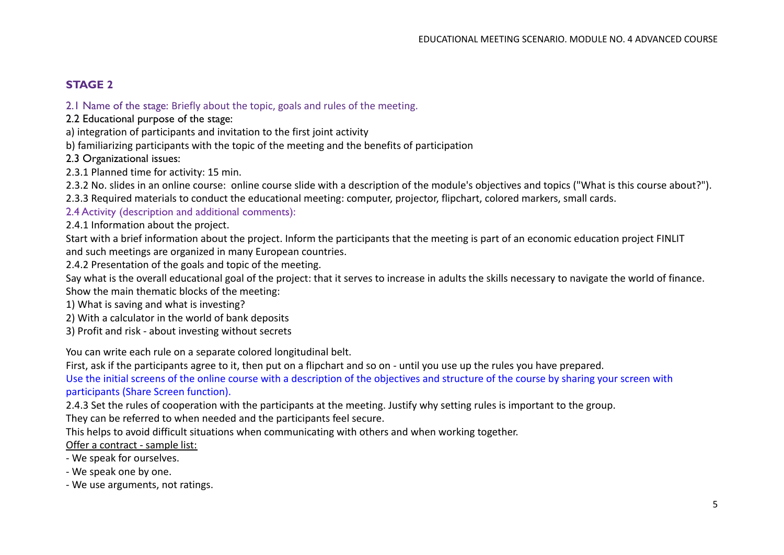# **STAGE 2**

2.1 Name of the stage: Briefly about the topic, goals and rules of the meeting.

- 2.2 Educational purpose of the stage:
- a) integration of participants and invitation to the first joint activity
- b) familiarizing participants with the topic of the meeting and the benefits of participation
- 2.3 Organizational issues:
- 2.3.1 Planned time for activity: 15 min.

2.3.2 No. slides in an online course: online course slide with a description of the module's objectives and topics ("What is this course about?").

2.3.3 Required materials to conduct the educational meeting: computer, projector, flipchart, colored markers, small cards.

2.4 Activity (description and additional comments):

2.4.1 Information about the project.

Start with a brief information about the project. Inform the participants that the meeting is part of an economic education project FINLIT and such meetings are organized in many European countries.

2.4.2 Presentation of the goals and topic of the meeting.

Say what is the overall educational goal of the project: that it serves to increase in adults the skills necessary to navigate the world of finance. Show the main thematic blocks of the meeting:

- 1) What is saving and what is investing?
- 2) With a calculator in the world of bank deposits
- 3) Profit and risk about investing without secrets

You can write each rule on a separate colored longitudinal belt.

First, ask if the participants agree to it, then put on a flipchart and so on - until you use up the rules you have prepared.

Use the initial screens of the online course with a description of the objectives and structure of the course by sharing your screen with participants (Share Screen function).

2.4.3 Set the rules of cooperation with the participants at the meeting. Justify why setting rules is important to the group.

They can be referred to when needed and the participants feel secure.

This helps to avoid difficult situations when communicating with others and when working together.

Offer a contract - sample list:

- We speak for ourselves.
- We speak one by one.
- We use arguments, not ratings.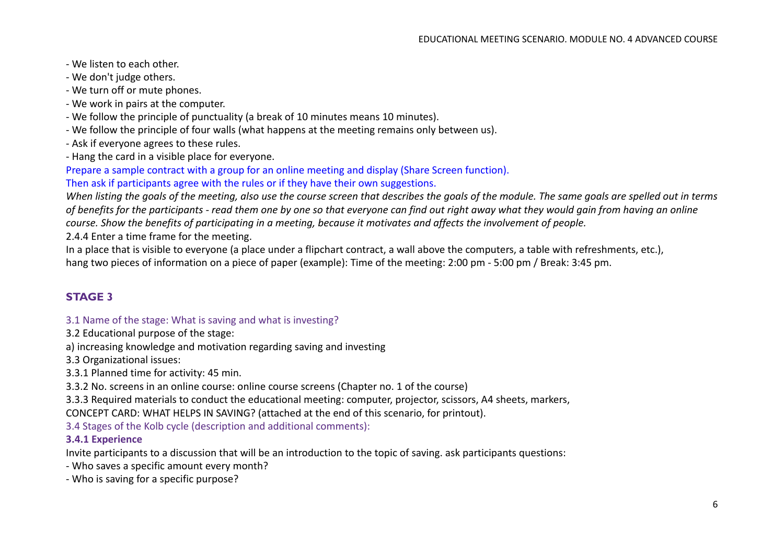- We listen to each other.
- We don't judge others.
- We turn off or mute phones.
- We work in pairs at the computer.
- We follow the principle of punctuality (a break of 10 minutes means 10 minutes).
- We follow the principle of four walls (what happens at the meeting remains only between us).
- Ask if everyone agrees to these rules.
- Hang the card in a visible place for everyone.

Prepare a sample contract with a group for an online meeting and display (Share Screen function).

Then ask if participants agree with the rules or if they have their own suggestions.

*When listing the goals of the meeting, also use the course screen that describes the goals of the module. The same goals are spelled out in terms of benefits for the participants - read them one by one so that everyone can find out right away what they would gain from having an online course. Show the benefits of participating in a meeting, because it motivates and affects the involvement of people.*

2.4.4 Enter a time frame for the meeting.

In a place that is visible to everyone (a place under a flipchart contract, a wall above the computers, a table with refreshments, etc.), hang two pieces of information on a piece of paper (example): Time of the meeting: 2:00 pm - 5:00 pm / Break: 3:45 pm.

## **STAGE 3**

#### 3.1 Name of the stage: What is saving and what is investing?

3.2 Educational purpose of the stage:

a) increasing knowledge and motivation regarding saving and investing

3.3 Organizational issues:

3.3.1 Planned time for activity: 45 min.

3.3.2 No. screens in an online course: online course screens (Chapter no. 1 of the course)

3.3.3 Required materials to conduct the educational meeting: computer, projector, scissors, A4 sheets, markers,

CONCEPT CARD: WHAT HELPS IN SAVING? (attached at the end of this scenario, for printout).

3.4 Stages of the Kolb cycle (description and additional comments):

#### **3.4.1 Experience**

Invite participants to a discussion that will be an introduction to the topic of saving. ask participants questions:

- Who saves a specific amount every month?

- Who is saving for a specific purpose?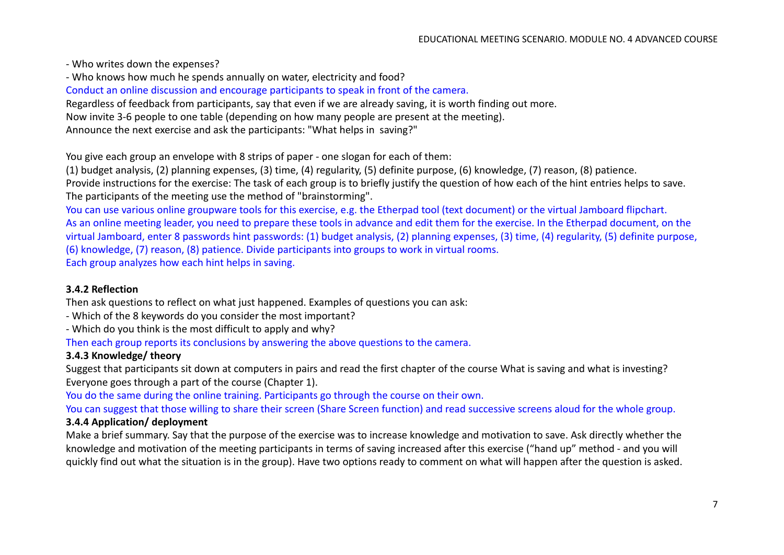- Who writes down the expenses?

- Who knows how much he spends annually on water, electricity and food?

Conduct an online discussion and encourage participants to speak in front of the camera.

Regardless of feedback from participants, say that even if we are already saving, it is worth finding out more.

Now invite 3-6 people to one table (depending on how many people are present at the meeting).

Announce the next exercise and ask the participants: "What helps in saving?"

You give each group an envelope with 8 strips of paper - one slogan for each of them:

(1) budget analysis, (2) planning expenses, (3) time, (4) regularity, (5) definite purpose, (6) knowledge, (7) reason, (8) patience. Provide instructions for the exercise: The task of each group is to briefly justify the question of how each of the hint entries helps to save. The participants of the meeting use the method of "brainstorming".

You can use various online groupware tools for this exercise, e.g. the Etherpad tool (text document) or the virtual Jamboard flipchart. As an online meeting leader, you need to prepare these tools in advance and edit them for the exercise. In the Etherpad document, on the virtual Jamboard, enter 8 passwords hint passwords: (1) budget analysis, (2) planning expenses, (3) time, (4) regularity, (5) definite purpose, (6) knowledge, (7) reason, (8) patience. Divide participants into groups to work in virtual rooms. Each group analyzes how each hint helps in saving.

#### **3.4.2 Reflection**

Then ask questions to reflect on what just happened. Examples of questions you can ask:

- Which of the 8 keywords do you consider the most important?
- Which do you think is the most difficult to apply and why?

Then each group reports its conclusions by answering the above questions to the camera.

## **3.4.3 Knowledge/ theory**

Suggest that participants sit down at computers in pairs and read the first chapter of the course What is saving and what is investing? Everyone goes through a part of the course (Chapter 1).

You do the same during the online training. Participants go through the course on their own.

You can suggest that those willing to share their screen (Share Screen function) and read successive screens aloud for the whole group.

## **3.4.4 Application/ deployment**

Make a brief summary. Say that the purpose of the exercise was to increase knowledge and motivation to save. Ask directly whether the knowledge and motivation of the meeting participants in terms of saving increased after this exercise ("hand up" method - and you will quickly find out what the situation is in the group). Have two options ready to comment on what will happen after the question is asked.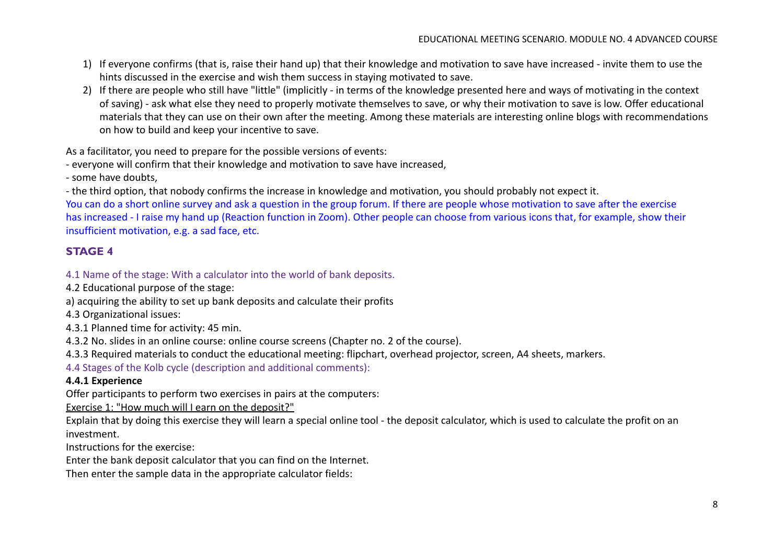- 1) If everyone confirms (that is, raise their hand up) that their knowledge and motivation to save have increased invite them to use the hints discussed in the exercise and wish them success in staying motivated to save.
- 2) If there are people who still have "little" (implicitly in terms of the knowledge presented here and ways of motivating in the context of saving) - ask what else they need to properly motivate themselves to save, or why their motivation to save is low. Offer educational materials that they can use on their own after the meeting. Among these materials are interesting online blogs with recommendations on how to build and keep your incentive to save.

As a facilitator, you need to prepare for the possible versions of events:

- everyone will confirm that their knowledge and motivation to save have increased,

- some have doubts,

- the third option, that nobody confirms the increase in knowledge and motivation, you should probably not expect it.

You can do a short online survey and ask a question in the group forum. If there are people whose motivation to save after the exercise has increased - I raise my hand up (Reaction function in Zoom). Other people can choose from various icons that, for example, show their insufficient motivation, e.g. a sad face, etc.

# **STAGE 4**

4.1 Name of the stage: With a calculator into the world of bank deposits.

4.2 Educational purpose of the stage:

a) acquiring the ability to set up bank deposits and calculate their profits

4.3 Organizational issues:

4.3.1 Planned time for activity: 45 min.

4.3.2 No. slides in an online course: online course screens (Chapter no. 2 of the course).

4.3.3 Required materials to conduct the educational meeting: flipchart, overhead projector, screen, A4 sheets, markers.

4.4 Stages of the Kolb cycle (description and additional comments):

#### **4.4.1 Experience**

Offer participants to perform two exercises in pairs at the computers:

Exercise 1: "How much will I earn on the deposit?"

Explain that by doing this exercise they will learn a special online tool - the deposit calculator, which is used to calculate the profit on an investment.

Instructions for the exercise:

Enter the bank deposit calculator that you can find on the Internet.

Then enter the sample data in the appropriate calculator fields: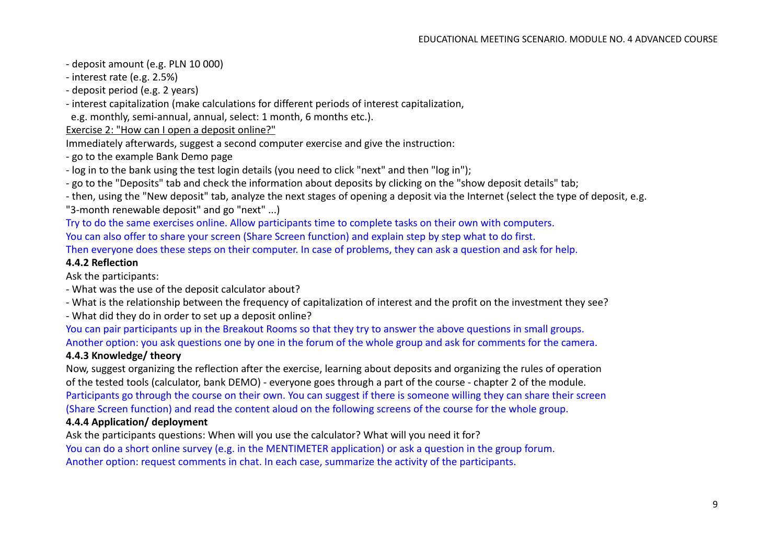- deposit amount (e.g. PLN 10 000)
- interest rate (e.g. 2.5%)
- deposit period (e.g. 2 years)
- interest capitalization (make calculations for different periods of interest capitalization,
- e.g. monthly, semi-annual, annual, select: 1 month, 6 months etc.).
- Exercise 2: "How can I open a deposit online?"
- Immediately afterwards, suggest a second computer exercise and give the instruction:
- go to the example Bank Demo page
- log in to the bank using the test login details (you need to click "next" and then "log in");
- go to the "Deposits" tab and check the information about deposits by clicking on the "show deposit details" tab;
- then, using the "New deposit" tab, analyze the next stages of opening a deposit via the Internet (select the type of deposit, e.g. "3-month renewable deposit" and go "next" ...)
- Try to do the same exercises online. Allow participants time to complete tasks on their own with computers.
- You can also offer to share your screen (Share Screen function) and explain step by step what to do first.
- Then everyone does these steps on their computer. In case of problems, they can ask a question and ask for help.

#### **4.4.2 Reflection**

Ask the participants:

- What was the use of the deposit calculator about?
- What is the relationship between the frequency of capitalization of interest and the profit on the investment they see?
- What did they do in order to set up a deposit online?
- You can pair participants up in the Breakout Rooms so that they try to answer the above questions in small groups. Another option: you ask questions one by one in the forum of the whole group and ask for comments for the camera.

#### **4.4.3 Knowledge/ theory**

Now, suggest organizing the reflection after the exercise, learning about deposits and organizing the rules of operation of the tested tools (calculator, bank DEMO) - everyone goes through a part of the course - chapter 2 of the module. Participants go through the course on their own. You can suggest if there is someone willing they can share their screen (Share Screen function) and read the content aloud on the following screens of the course for the whole group.

#### **4.4.4 Application/ deployment**

Ask the participants questions: When will you use the calculator? What will you need it for? You can do a short online survey (e.g. in the MENTIMETER application) or ask a question in the group forum. Another option: request comments in chat. In each case, summarize the activity of the participants.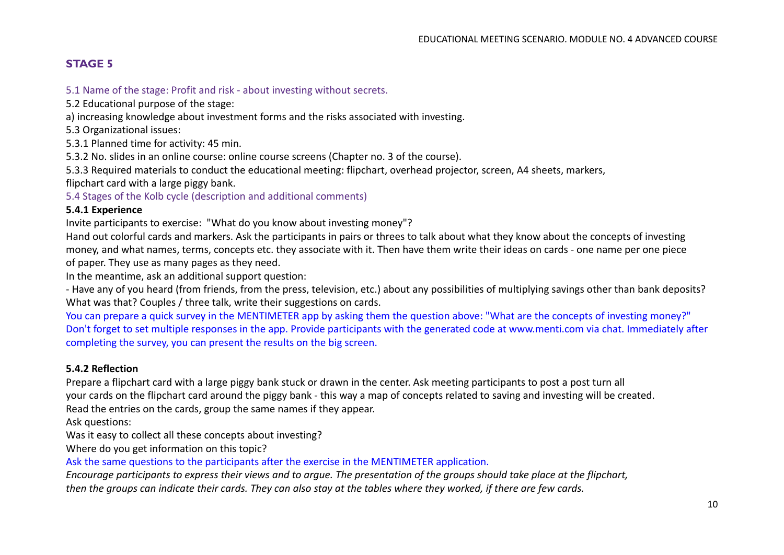# **STAGE 5**

## 5.1 Name of the stage: Profit and risk - about investing without secrets.

5.2 Educational purpose of the stage:

a) increasing knowledge about investment forms and the risks associated with investing.

5.3 Organizational issues:

5.3.1 Planned time for activity: 45 min.

5.3.2 No. slides in an online course: online course screens (Chapter no. 3 of the course).

5.3.3 Required materials to conduct the educational meeting: flipchart, overhead projector, screen, A4 sheets, markers,

flipchart card with a large piggy bank.

5.4 Stages of the Kolb cycle (description and additional comments)

#### **5.4.1 Experience**

Invite participants to exercise: "What do you know about investing money"?

Hand out colorful cards and markers. Ask the participants in pairs or threes to talk about what they know about the concepts of investing money, and what names, terms, concepts etc. they associate with it. Then have them write their ideas on cards - one name per one piece of paper. They use as many pages as they need.

In the meantime, ask an additional support question:

- Have any of you heard (from friends, from the press, television, etc.) about any possibilities of multiplying savings other than bank deposits? What was that? Couples / three talk, write their suggestions on cards.

You can prepare a quick survey in the MENTIMETER app by asking them the question above: "What are the concepts of investing money?" Don't forget to set multiple responses in the app. Provide participants with the generated code at www.menti.com via chat. Immediately after completing the survey, you can present the results on the big screen.

#### **5.4.2 Reflection**

Prepare a flipchart card with a large piggy bank stuck or drawn in the center. Ask meeting participants to post a post turn all your cards on the flipchart card around the piggy bank - this way a map of concepts related to saving and investing will be created. Read the entries on the cards, group the same names if they appear.

Ask questions:

Was it easy to collect all these concepts about investing?

Where do you get information on this topic?

Ask the same questions to the participants after the exercise in the MENTIMETER application.

*Encourage participants to express their views and to argue. The presentation of the groups should take place at the flipchart, then the groups can indicate their cards. They can also stay at the tables where they worked, if there are few cards.*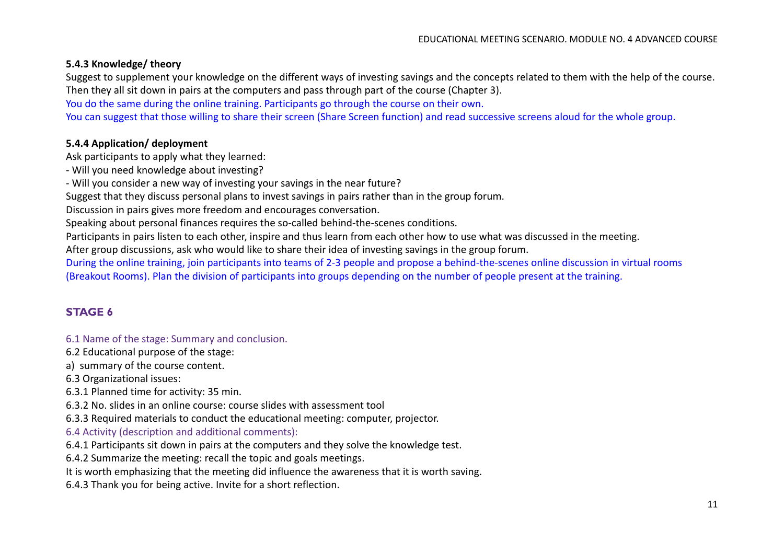## **5.4.3 Knowledge/ theory**

Suggest to supplement your knowledge on the different ways of investing savings and the concepts related to them with the help of the course. Then they all sit down in pairs at the computers and pass through part of the course (Chapter 3).

You do the same during the online training. Participants go through the course on their own.

You can suggest that those willing to share their screen (Share Screen function) and read successive screens aloud for the whole group.

#### **5.4.4 Application/ deployment**

Ask participants to apply what they learned:

- Will you need knowledge about investing?
- Will you consider a new way of investing your savings in the near future?

Suggest that they discuss personal plans to invest savings in pairs rather than in the group forum.

Discussion in pairs gives more freedom and encourages conversation.

Speaking about personal finances requires the so-called behind-the-scenes conditions.

Participants in pairs listen to each other, inspire and thus learn from each other how to use what was discussed in the meeting.

After group discussions, ask who would like to share their idea of investing savings in the group forum.

During the online training, join participants into teams of 2-3 people and propose a behind-the-scenes online discussion in virtual rooms (Breakout Rooms). Plan the division of participants into groups depending on the number of people present at the training.

# **STAGE 6**

#### 6.1 Name of the stage: Summary and conclusion.

- 6.2 Educational purpose of the stage:
- a) summary of the course content.

6.3 Organizational issues:

6.3.1 Planned time for activity: 35 min.

6.3.2 No. slides in an online course: course slides with assessment tool

6.3.3 Required materials to conduct the educational meeting: computer, projector.

6.4 Activity (description and additional comments):

6.4.1 Participants sit down in pairs at the computers and they solve the knowledge test.

6.4.2 Summarize the meeting: recall the topic and goals meetings.

It is worth emphasizing that the meeting did influence the awareness that it is worth saving.

6.4.3 Thank you for being active. Invite for a short reflection.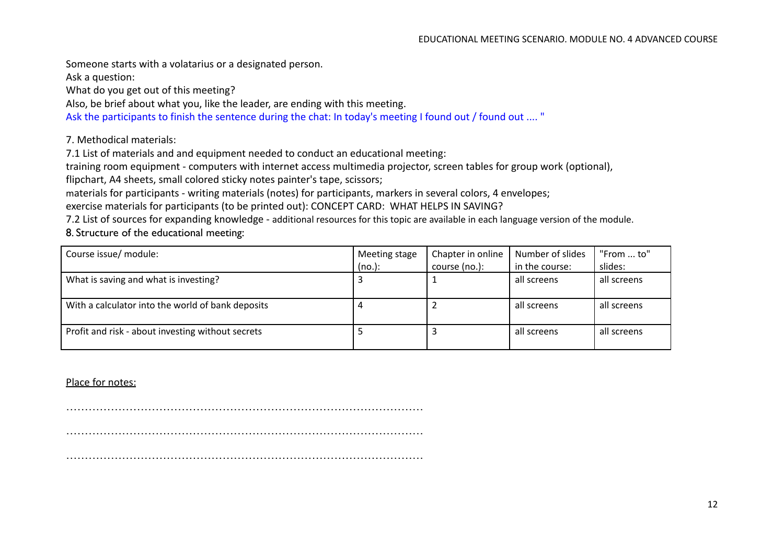Someone starts with a volatarius or a designated person.

Ask a question:

What do you get out of this meeting?

Also, be brief about what you, like the leader, are ending with this meeting.

Ask the participants to finish the sentence during the chat: In today's meeting I found out / found out .... "

7. Methodical materials:

7.1 List of materials and and equipment needed to conduct an educational meeting:

training room equipment - computers with internet access multimedia projector, screen tables for group work (optional),

flipchart, A4 sheets, small colored sticky notes painter's tape, scissors;

materials for participants - writing materials (notes) for participants, markers in several colors, 4 envelopes;

exercise materials for participants (to be printed out): CONCEPT CARD: WHAT HELPS IN SAVING?

7.2 List of sources for expanding knowledge - additional resources for this topic are available in each language version of the module. 8. Structure of the educational meeting:

| Course issue/ module:                             | Meeting stage | Chapter in online | Number of slides | "From  to"  |
|---------------------------------------------------|---------------|-------------------|------------------|-------------|
|                                                   | (no.):        | course (no.):     | in the course:   | slides:     |
| What is saving and what is investing?             |               |                   | all screens      | all screens |
| With a calculator into the world of bank deposits |               |                   | all screens      | all screens |
| Profit and risk - about investing without secrets |               |                   | all screens      | all screens |

#### Place for notes:

……………………………………………………………………………………

 $\mathcal{L}^{\text{max}}_{\text{max}}$ 

 $\mathcal{L}^{(n)}$  . The contract of the contract of the contract of the contract of the contract of the contract of the contract of the contract of the contract of the contract of the contract of the contract of the contract o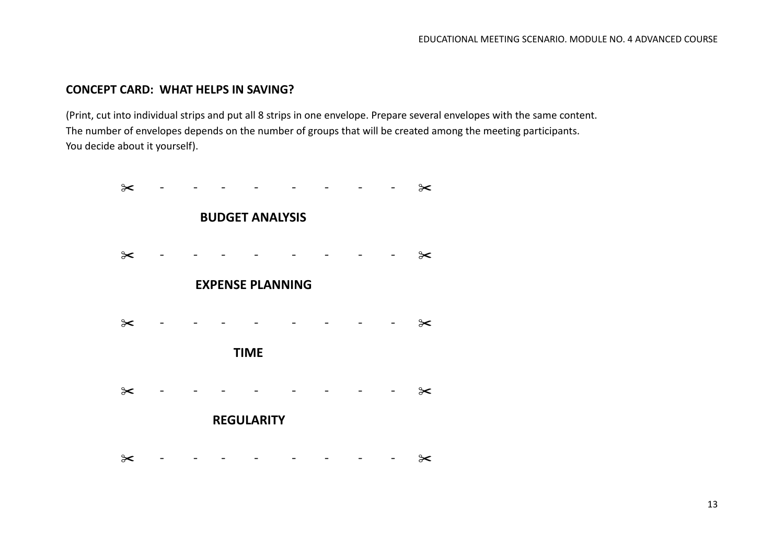# **CONCEPT CARD: WHAT HELPS IN SAVING?**

(Print, cut into individual strips and put all 8 strips in one envelope. Prepare several envelopes with the same content. The number of envelopes depends on the number of groups that will be created among the meeting participants. You decide about it yourself).